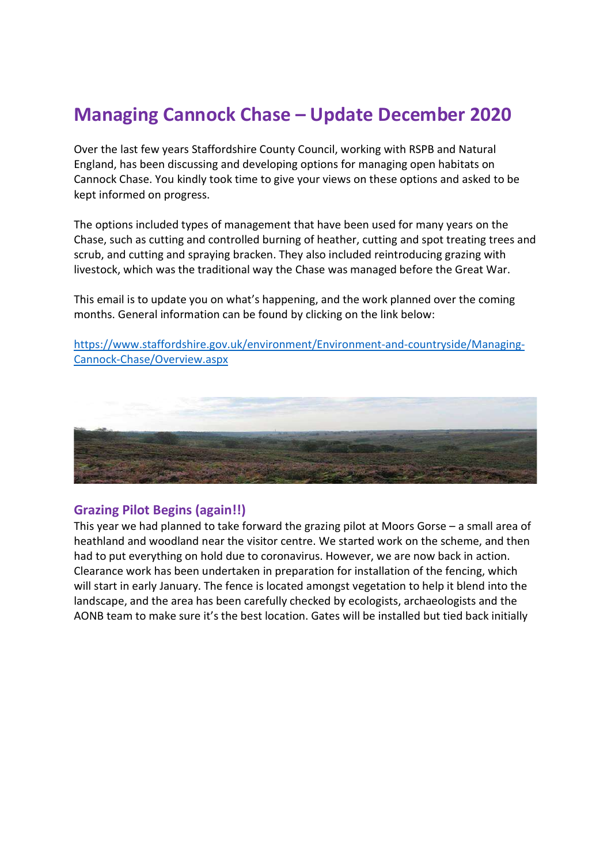# Managing Cannock Chase – Update December 2020

Over the last few years Staffordshire County Council, working with RSPB and Natural England, has been discussing and developing options for managing open habitats on Cannock Chase. You kindly took time to give your views on these options and asked to be kept informed on progress.

The options included types of management that have been used for many years on the Chase, such as cutting and controlled burning of heather, cutting and spot treating trees and scrub, and cutting and spraying bracken. They also included reintroducing grazing with livestock, which was the traditional way the Chase was managed before the Great War.

This email is to update you on what's happening, and the work planned over the coming months. General information can be found by clicking on the link below:

https://www.staffordshire.gov.uk/environment/Environment-and-countryside/Managing-Cannock-Chase/Overview.aspx



#### Grazing Pilot Begins (again!!)

This year we had planned to take forward the grazing pilot at Moors Gorse – a small area of heathland and woodland near the visitor centre. We started work on the scheme, and then had to put everything on hold due to coronavirus. However, we are now back in action. Clearance work has been undertaken in preparation for installation of the fencing, which will start in early January. The fence is located amongst vegetation to help it blend into the landscape, and the area has been carefully checked by ecologists, archaeologists and the AONB team to make sure it's the best location. Gates will be installed but tied back initially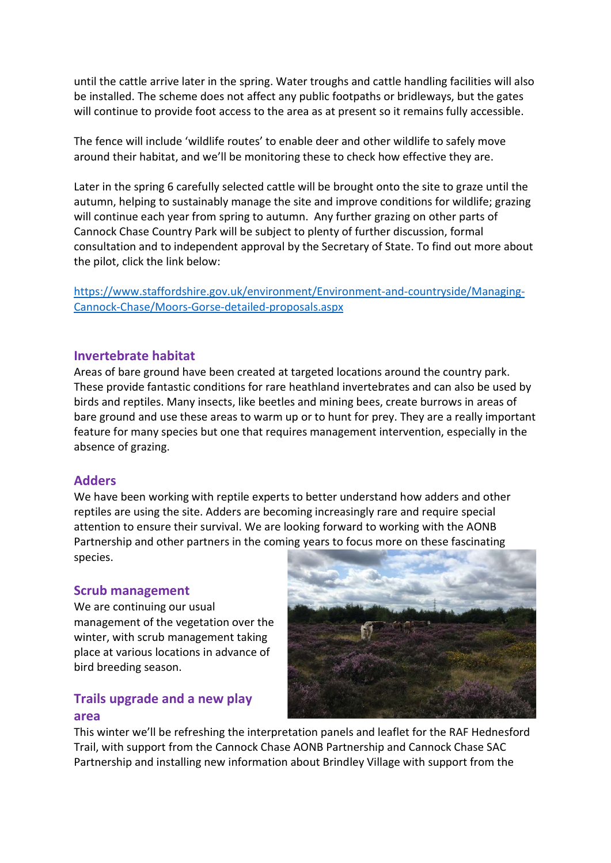until the cattle arrive later in the spring. Water troughs and cattle handling facilities will also be installed. The scheme does not affect any public footpaths or bridleways, but the gates will continue to provide foot access to the area as at present so it remains fully accessible.

The fence will include 'wildlife routes' to enable deer and other wildlife to safely move around their habitat, and we'll be monitoring these to check how effective they are.

Later in the spring 6 carefully selected cattle will be brought onto the site to graze until the autumn, helping to sustainably manage the site and improve conditions for wildlife; grazing will continue each year from spring to autumn. Any further grazing on other parts of Cannock Chase Country Park will be subject to plenty of further discussion, formal consultation and to independent approval by the Secretary of State. To find out more about the pilot, click the link below:

https://www.staffordshire.gov.uk/environment/Environment-and-countryside/Managing-Cannock-Chase/Moors-Gorse-detailed-proposals.aspx

#### Invertebrate habitat

Areas of bare ground have been created at targeted locations around the country park. These provide fantastic conditions for rare heathland invertebrates and can also be used by birds and reptiles. Many insects, like beetles and mining bees, create burrows in areas of bare ground and use these areas to warm up or to hunt for prey. They are a really important feature for many species but one that requires management intervention, especially in the absence of grazing.

#### **Adders**

We have been working with reptile experts to better understand how adders and other reptiles are using the site. Adders are becoming increasingly rare and require special attention to ensure their survival. We are looking forward to working with the AONB Partnership and other partners in the coming years to focus more on these fascinating species.

#### Scrub management

We are continuing our usual management of the vegetation over the winter, with scrub management taking place at various locations in advance of bird breeding season.

## Trails upgrade and a new play area



This winter we'll be refreshing the interpretation panels and leaflet for the RAF Hednesford Trail, with support from the Cannock Chase AONB Partnership and Cannock Chase SAC Partnership and installing new information about Brindley Village with support from the